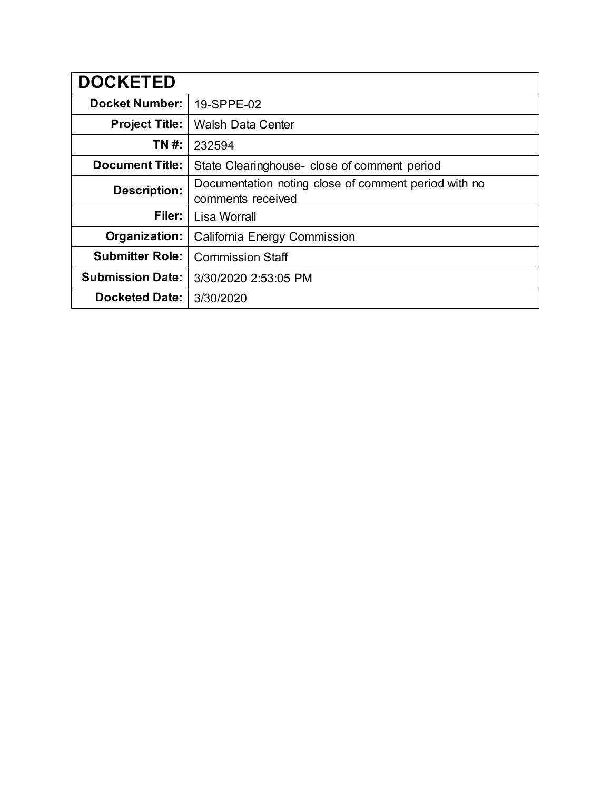| <b>DOCKETED</b>         |                                                                           |
|-------------------------|---------------------------------------------------------------------------|
| <b>Docket Number:</b>   | 19-SPPE-02                                                                |
| <b>Project Title:</b>   | <b>Walsh Data Center</b>                                                  |
| TN #:                   | 232594                                                                    |
| <b>Document Title:</b>  | State Clearinghouse- close of comment period                              |
| <b>Description:</b>     | Documentation noting close of comment period with no<br>comments received |
| Filer:                  | <b>Lisa Worrall</b>                                                       |
| Organization:           | California Energy Commission                                              |
| <b>Submitter Role:</b>  | <b>Commission Staff</b>                                                   |
| <b>Submission Date:</b> | 3/30/2020 2:53:05 PM                                                      |
| <b>Docketed Date:</b>   | 3/30/2020                                                                 |